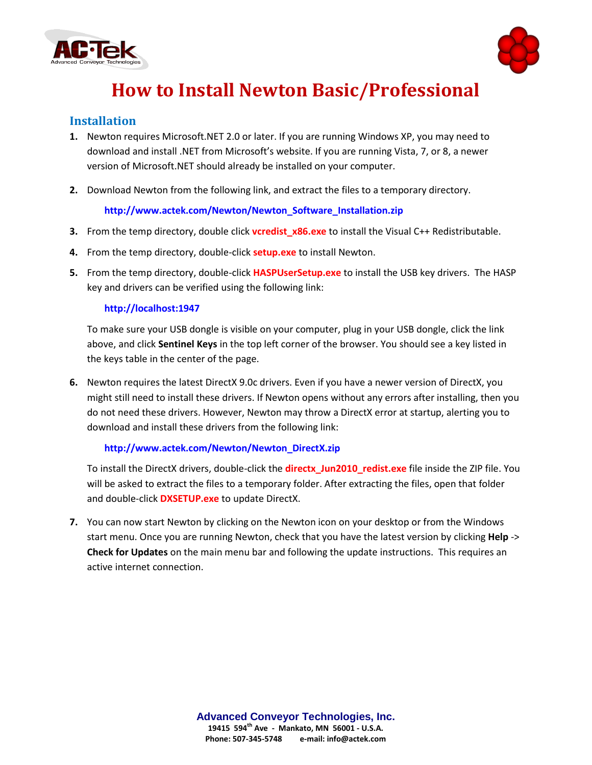



# **How to Install Newton Basic/Professional**

## **Installation**

- **1.** Newton requires Microsoft.NET 2.0 or later. If you are running Windows XP, you may need to download and install .NET from Microsoft's website. If you are running Vista, 7, or 8, a newer version of Microsoft.NET should already be installed on your computer.
- **2.** Download Newton from the following link, and extract the files to a temporary directory.

#### **[http://www.actek.com/Newton/Newton\\_Software\\_Installation.zip](http://www.actek.com/Newton/Newton_Software_Installation.zip)**

- **3.** From the temp directory, double click **vcredist x86.exe** to install the Visual C++ Redistributable.
- **4.** From the temp directory, double-click **setup.exe** to install Newton.
- **5.** From the temp directory, double-click **HASPUserSetup.exe** to install the USB key drivers. The HASP key and drivers can be verified using the following link:

#### **[http://localhost:1947](http://localhost:1947/)**

To make sure your USB dongle is visible on your computer, plug in your USB dongle, click the link above, and click **Sentinel Keys** in the top left corner of the browser. You should see a key listed in the keys table in the center of the page.

**6.** Newton requires the latest DirectX 9.0c drivers. Even if you have a newer version of DirectX, you might still need to install these drivers. If Newton opens without any errors after installing, then you do not need these drivers. However, Newton may throw a DirectX error at startup, alerting you to download and install these drivers from the following link:

#### **[http://www.actek.com/Newton/Newton\\_DirectX.zip](http://www.actek.com/Newton/Newton_DirectX.zip)**

To install the DirectX drivers, double-click the **directx\_Jun2010\_redist.exe** file inside the ZIP file. You will be asked to extract the files to a temporary folder. After extracting the files, open that folder and double-click **DXSETUP.exe** to update DirectX.

**7.** You can now start Newton by clicking on the Newton icon on your desktop or from the Windows start menu. Once you are running Newton, check that you have the latest version by clicking **Help** -> **Check for Updates** on the main menu bar and following the update instructions. This requires an active internet connection.